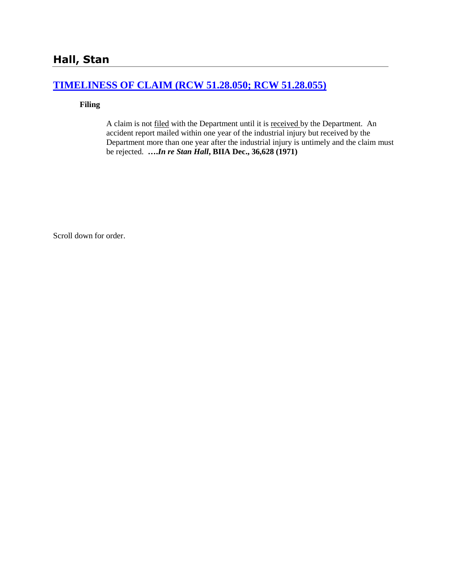## **[TIMELINESS OF CLAIM \(RCW 51.28.050; RCW 51.28.055\)](http://www.biia.wa.gov/SDSubjectIndex.html#TIMELINESS_OF_CLAIM)**

### **Filing**

A claim is not filed with the Department until it is received by the Department. An accident report mailed within one year of the industrial injury but received by the Department more than one year after the industrial injury is untimely and the claim must be rejected. **….***In re Stan Hall***, BIIA Dec., 36,628 (1971)** 

Scroll down for order.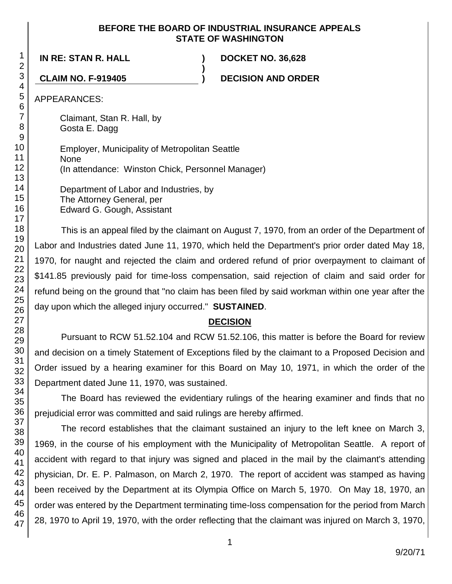### **BEFORE THE BOARD OF INDUSTRIAL INSURANCE APPEALS STATE OF WASHINGTON**

**)**

**IN RE: STAN R. HALL ) DOCKET NO. 36,628**

**CLAIM NO. F-919405 ) DECISION AND ORDER**

APPEARANCES:

Claimant, Stan R. Hall, by Gosta E. Dagg

| Employer, Municipality of Metropolitan Seattle    |  |  |
|---------------------------------------------------|--|--|
| <b>None</b>                                       |  |  |
| (In attendance: Winston Chick, Personnel Manager) |  |  |
|                                                   |  |  |

Department of Labor and Industries, by The Attorney General, per Edward G. Gough, Assistant

This is an appeal filed by the claimant on August 7, 1970, from an order of the Department of Labor and Industries dated June 11, 1970, which held the Department's prior order dated May 18, 1970, for naught and rejected the claim and ordered refund of prior overpayment to claimant of \$141.85 previously paid for time-loss compensation, said rejection of claim and said order for refund being on the ground that "no claim has been filed by said workman within one year after the day upon which the alleged injury occurred." **SUSTAINED**.

# **DECISION**

Pursuant to RCW 51.52.104 and RCW 51.52.106, this matter is before the Board for review and decision on a timely Statement of Exceptions filed by the claimant to a Proposed Decision and Order issued by a hearing examiner for this Board on May 10, 1971, in which the order of the Department dated June 11, 1970, was sustained.

The Board has reviewed the evidentiary rulings of the hearing examiner and finds that no prejudicial error was committed and said rulings are hereby affirmed.

The record establishes that the claimant sustained an injury to the left knee on March 3, 1969, in the course of his employment with the Municipality of Metropolitan Seattle. A report of accident with regard to that injury was signed and placed in the mail by the claimant's attending physician, Dr. E. P. Palmason, on March 2, 1970. The report of accident was stamped as having been received by the Department at its Olympia Office on March 5, 1970. On May 18, 1970, an order was entered by the Department terminating time-loss compensation for the period from March 28, 1970 to April 19, 1970, with the order reflecting that the claimant was injured on March 3, 1970,

1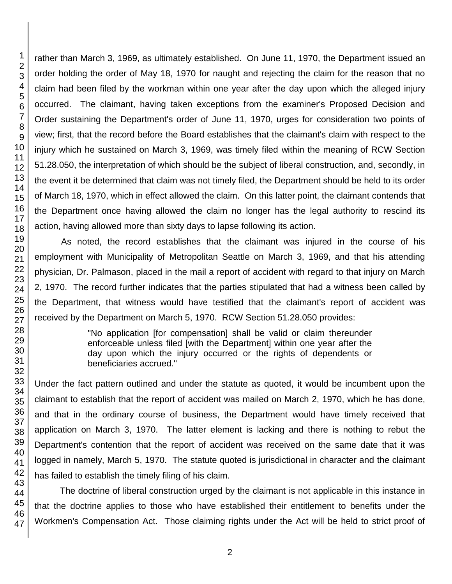46 47

1 2

rather than March 3, 1969, as ultimately established. On June 11, 1970, the Department issued an order holding the order of May 18, 1970 for naught and rejecting the claim for the reason that no claim had been filed by the workman within one year after the day upon which the alleged injury occurred. The claimant, having taken exceptions from the examiner's Proposed Decision and Order sustaining the Department's order of June 11, 1970, urges for consideration two points of view; first, that the record before the Board establishes that the claimant's claim with respect to the injury which he sustained on March 3, 1969, was timely filed within the meaning of RCW Section 51.28.050, the interpretation of which should be the subject of liberal construction, and, secondly, in the event it be determined that claim was not timely filed, the Department should be held to its order of March 18, 1970, which in effect allowed the claim. On this latter point, the claimant contends that the Department once having allowed the claim no longer has the legal authority to rescind its action, having allowed more than sixty days to lapse following its action.

As noted, the record establishes that the claimant was injured in the course of his employment with Municipality of Metropolitan Seattle on March 3, 1969, and that his attending physician, Dr. Palmason, placed in the mail a report of accident with regard to that injury on March 2, 1970. The record further indicates that the parties stipulated that had a witness been called by the Department, that witness would have testified that the claimant's report of accident was received by the Department on March 5, 1970. RCW Section 51.28.050 provides:

> "No application [for compensation] shall be valid or claim thereunder enforceable unless filed [with the Department] within one year after the day upon which the injury occurred or the rights of dependents or beneficiaries accrued."

Under the fact pattern outlined and under the statute as quoted, it would be incumbent upon the claimant to establish that the report of accident was mailed on March 2, 1970, which he has done, and that in the ordinary course of business, the Department would have timely received that application on March 3, 1970. The latter element is lacking and there is nothing to rebut the Department's contention that the report of accident was received on the same date that it was logged in namely, March 5, 1970. The statute quoted is jurisdictional in character and the claimant has failed to establish the timely filing of his claim.

The doctrine of liberal construction urged by the claimant is not applicable in this instance in that the doctrine applies to those who have established their entitlement to benefits under the Workmen's Compensation Act. Those claiming rights under the Act will be held to strict proof of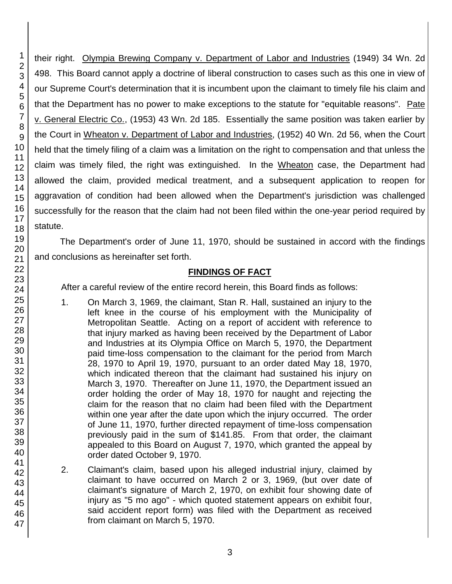1 2 3

their right. Olympia Brewing Company v. Department of Labor and Industries (1949) 34 Wn. 2d 498. This Board cannot apply a doctrine of liberal construction to cases such as this one in view of our Supreme Court's determination that it is incumbent upon the claimant to timely file his claim and that the Department has no power to make exceptions to the statute for "equitable reasons". Pate v. General Electric Co., (1953) 43 Wn. 2d 185. Essentially the same position was taken earlier by the Court in Wheaton v. Department of Labor and Industries, (1952) 40 Wn. 2d 56, when the Court held that the timely filing of a claim was a limitation on the right to compensation and that unless the claim was timely filed, the right was extinguished. In the Wheaton case, the Department had allowed the claim, provided medical treatment, and a subsequent application to reopen for aggravation of condition had been allowed when the Department's jurisdiction was challenged successfully for the reason that the claim had not been filed within the one-year period required by statute.

The Department's order of June 11, 1970, should be sustained in accord with the findings and conclusions as hereinafter set forth.

### **FINDINGS OF FACT**

After a careful review of the entire record herein, this Board finds as follows:

- 1. On March 3, 1969, the claimant, Stan R. Hall, sustained an injury to the left knee in the course of his employment with the Municipality of Metropolitan Seattle. Acting on a report of accident with reference to that injury marked as having been received by the Department of Labor and Industries at its Olympia Office on March 5, 1970, the Department paid time-loss compensation to the claimant for the period from March 28, 1970 to April 19, 1970, pursuant to an order dated May 18, 1970, which indicated thereon that the claimant had sustained his injury on March 3, 1970. Thereafter on June 11, 1970, the Department issued an order holding the order of May 18, 1970 for naught and rejecting the claim for the reason that no claim had been filed with the Department within one year after the date upon which the injury occurred. The order of June 11, 1970, further directed repayment of time-loss compensation previously paid in the sum of \$141.85. From that order, the claimant appealed to this Board on August 7, 1970, which granted the appeal by order dated October 9, 1970.
- 2. Claimant's claim, based upon his alleged industrial injury, claimed by claimant to have occurred on March 2 or 3, 1969, (but over date of claimant's signature of March 2, 1970, on exhibit four showing date of injury as "5 mo ago" - which quoted statement appears on exhibit four, said accident report form) was filed with the Department as received from claimant on March 5, 1970.